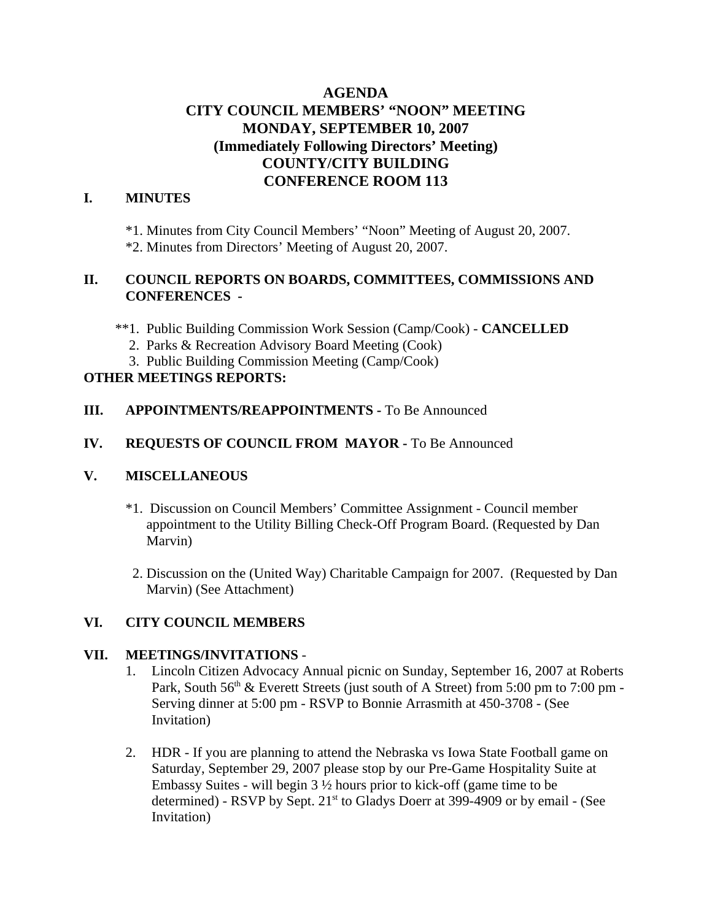# **AGENDA CITY COUNCIL MEMBERS' "NOON" MEETING MONDAY, SEPTEMBER 10, 2007 (Immediately Following Directors' Meeting) COUNTY/CITY BUILDING CONFERENCE ROOM 113**

## **I. MINUTES**

\*1. Minutes from City Council Members' "Noon" Meeting of August 20, 2007. \*2. Minutes from Directors' Meeting of August 20, 2007.

## **II. COUNCIL REPORTS ON BOARDS, COMMITTEES, COMMISSIONS AND CONFERENCES -**

\*\*1. Public Building Commission Work Session (Camp/Cook) - **CANCELLED**

- 2. Parks & Recreation Advisory Board Meeting (Cook)
- 3. Public Building Commission Meeting (Camp/Cook)

## **OTHER MEETINGS REPORTS:**

#### **III.** APPOINTMENTS/REAPPOINTMENTS - To Be Announced

### **IV. REQUESTS OF COUNCIL FROM MAYOR -** To Be Announced

#### **V. MISCELLANEOUS**

- \*1. Discussion on Council Members' Committee Assignment Council member appointment to the Utility Billing Check-Off Program Board. (Requested by Dan Marvin)
- 2. Discussion on the (United Way) Charitable Campaign for 2007. (Requested by Dan Marvin) (See Attachment)

## **VI. CITY COUNCIL MEMBERS**

#### **VII. MEETINGS/INVITATIONS** -

- 1. Lincoln Citizen Advocacy Annual picnic on Sunday, September 16, 2007 at Roberts Park, South  $56<sup>th</sup>$  & Everett Streets (just south of A Street) from  $5:00$  pm to  $7:00$  pm -Serving dinner at 5:00 pm - RSVP to Bonnie Arrasmith at 450-3708 - (See Invitation)
- 2. HDR If you are planning to attend the Nebraska vs Iowa State Football game on Saturday, September 29, 2007 please stop by our Pre-Game Hospitality Suite at Embassy Suites - will begin  $3\frac{1}{2}$  hours prior to kick-off (game time to be determined) - RSVP by Sept.  $21<sup>st</sup>$  to Gladys Doerr at 399-4909 or by email - (See Invitation)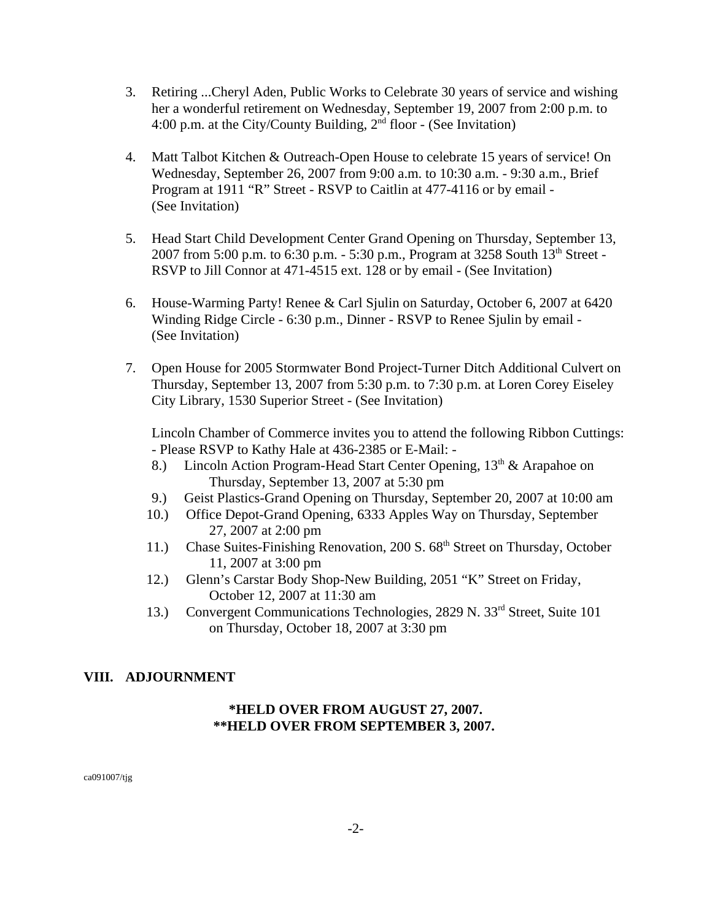- 3. Retiring ...Cheryl Aden, Public Works to Celebrate 30 years of service and wishing her a wonderful retirement on Wednesday, September 19, 2007 from 2:00 p.m. to 4:00 p.m. at the City/County Building,  $2<sup>nd</sup>$  floor - (See Invitation)
- 4. Matt Talbot Kitchen & Outreach-Open House to celebrate 15 years of service! On Wednesday, September 26, 2007 from 9:00 a.m. to 10:30 a.m. - 9:30 a.m., Brief Program at 1911 "R" Street - RSVP to Caitlin at 477-4116 or by email - (See Invitation)
- 5. Head Start Child Development Center Grand Opening on Thursday, September 13, 2007 from 5:00 p.m. to 6:30 p.m. - 5:30 p.m., Program at 3258 South  $13^{th}$  Street -RSVP to Jill Connor at 471-4515 ext. 128 or by email - (See Invitation)
- 6. House-Warming Party! Renee & Carl Sjulin on Saturday, October 6, 2007 at 6420 Winding Ridge Circle - 6:30 p.m., Dinner - RSVP to Renee Sjulin by email - (See Invitation)
- 7. Open House for 2005 Stormwater Bond Project-Turner Ditch Additional Culvert on Thursday, September 13, 2007 from 5:30 p.m. to 7:30 p.m. at Loren Corey Eiseley City Library, 1530 Superior Street - (See Invitation)

 Lincoln Chamber of Commerce invites you to attend the following Ribbon Cuttings: - Please RSVP to Kathy Hale at 436-2385 or E-Mail: -

- 8.) Lincoln Action Program-Head Start Center Opening,  $13<sup>th</sup>$  & Arapahoe on Thursday, September 13, 2007 at 5:30 pm
- 9.) Geist Plastics-Grand Opening on Thursday, September 20, 2007 at 10:00 am
- 10.) Office Depot-Grand Opening, 6333 Apples Way on Thursday, September 27, 2007 at 2:00 pm
- 11.) Chase Suites-Finishing Renovation, 200 S. 68<sup>th</sup> Street on Thursday, October 11, 2007 at 3:00 pm
- 12.) Glenn's Carstar Body Shop-New Building, 2051 "K" Street on Friday, October 12, 2007 at 11:30 am
- 13.) Convergent Communications Technologies, 2829 N. 33<sup>rd</sup> Street, Suite 101 on Thursday, October 18, 2007 at 3:30 pm

## **VIII. ADJOURNMENT**

### **\*HELD OVER FROM AUGUST 27, 2007. \*\*HELD OVER FROM SEPTEMBER 3, 2007.**

ca091007/tjg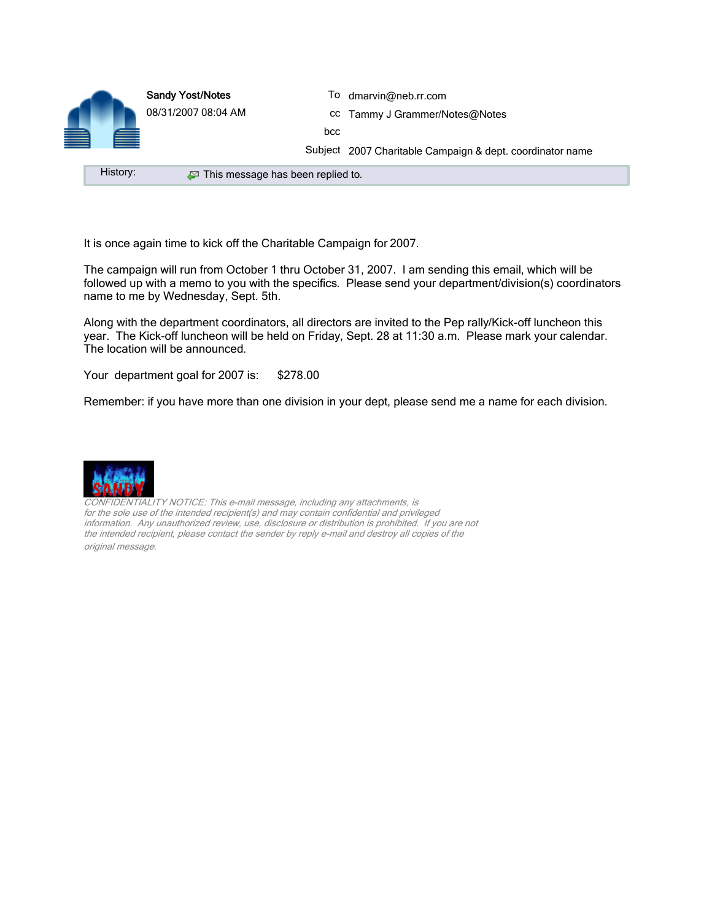

It is once again time to kick off the Charitable Campaign for 2007.

The campaign will run from October 1 thru October 31, 2007. I am sending this email, which will be followed up with a memo to you with the specifics. Please send your department/division(s) coordinators name to me by Wednesday, Sept. 5th.

Along with the department coordinators, all directors are invited to the Pep rally/Kick-off luncheon this year. The Kick-off luncheon will be held on Friday, Sept. 28 at 11:30 a.m. Please mark your calendar. The location will be announced.

Your department goal for 2007 is: \$278.00

Remember: if you have more than one division in your dept, please send me a name for each division.



FIDENTIALITY NOTICE: This e-mail message, including any attachments, is for the sole use of the intended recipient(s) and may contain confidential and privileged information. Any unauthorized review, use, disclosure or distribution is prohibited. If you are not the intended recipient, please contact the sender by reply e-mail and destroy all copies of the original message.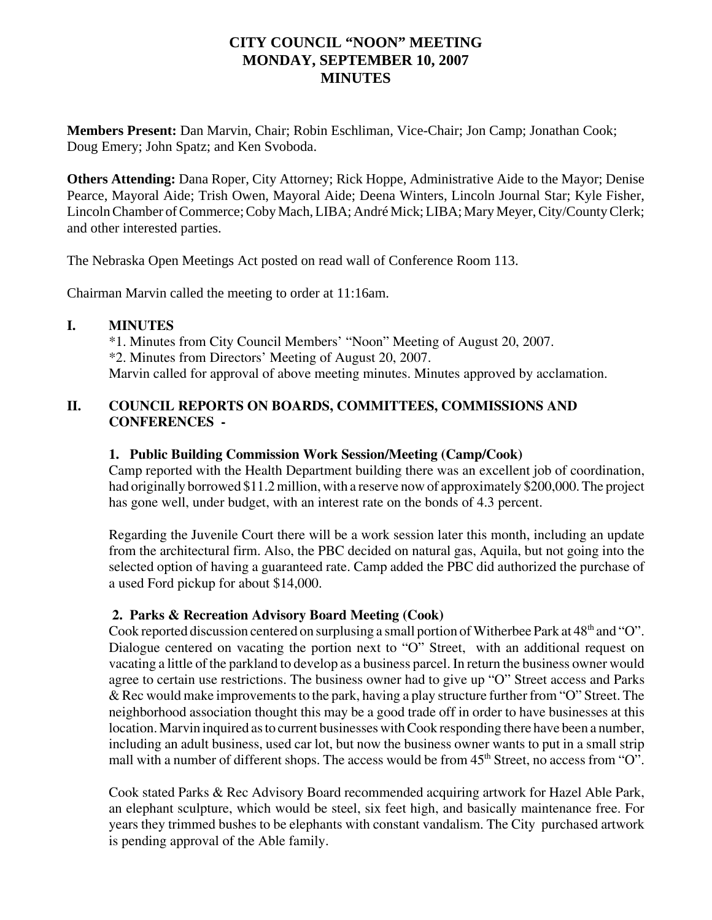## **CITY COUNCIL "NOON" MEETING MONDAY, SEPTEMBER 10, 2007 MINUTES**

**Members Present:** Dan Marvin, Chair; Robin Eschliman, Vice-Chair; Jon Camp; Jonathan Cook; Doug Emery; John Spatz; and Ken Svoboda.

**Others Attending:** Dana Roper, City Attorney; Rick Hoppe, Administrative Aide to the Mayor; Denise Pearce, Mayoral Aide; Trish Owen, Mayoral Aide; Deena Winters, Lincoln Journal Star; Kyle Fisher, Lincoln Chamber of Commerce; Coby Mach, LIBA; André Mick; LIBA; Mary Meyer, City/County Clerk; and other interested parties.

The Nebraska Open Meetings Act posted on read wall of Conference Room 113.

Chairman Marvin called the meeting to order at 11:16am.

## **I. MINUTES**

\*1. Minutes from City Council Members' "Noon" Meeting of August 20, 2007. \*2. Minutes from Directors' Meeting of August 20, 2007. Marvin called for approval of above meeting minutes. Minutes approved by acclamation.

## **II. COUNCIL REPORTS ON BOARDS, COMMITTEES, COMMISSIONS AND CONFERENCES -**

## **1. Public Building Commission Work Session/Meeting (Camp/Cook)**

Camp reported with the Health Department building there was an excellent job of coordination, had originally borrowed \$11.2 million, with a reserve now of approximately \$200,000. The project has gone well, under budget, with an interest rate on the bonds of 4.3 percent.

Regarding the Juvenile Court there will be a work session later this month, including an update from the architectural firm. Also, the PBC decided on natural gas, Aquila, but not going into the selected option of having a guaranteed rate. Camp added the PBC did authorized the purchase of a used Ford pickup for about \$14,000.

## **2. Parks & Recreation Advisory Board Meeting (Cook)**

Cook reported discussion centered on surplusing a small portion of Witherbee Park at  $48<sup>th</sup>$  and "O". Dialogue centered on vacating the portion next to "O" Street, with an additional request on vacating a little of the parkland to develop as a business parcel. In return the business owner would agree to certain use restrictions. The business owner had to give up "O" Street access and Parks & Rec would make improvements to the park, having a play structure further from "O" Street. The neighborhood association thought this may be a good trade off in order to have businesses at this location. Marvin inquired as to current businesses with Cook responding there have been a number, including an adult business, used car lot, but now the business owner wants to put in a small strip mall with a number of different shops. The access would be from  $45<sup>th</sup>$  Street, no access from "O".

Cook stated Parks & Rec Advisory Board recommended acquiring artwork for Hazel Able Park, an elephant sculpture, which would be steel, six feet high, and basically maintenance free. For years they trimmed bushes to be elephants with constant vandalism. The City purchased artwork is pending approval of the Able family.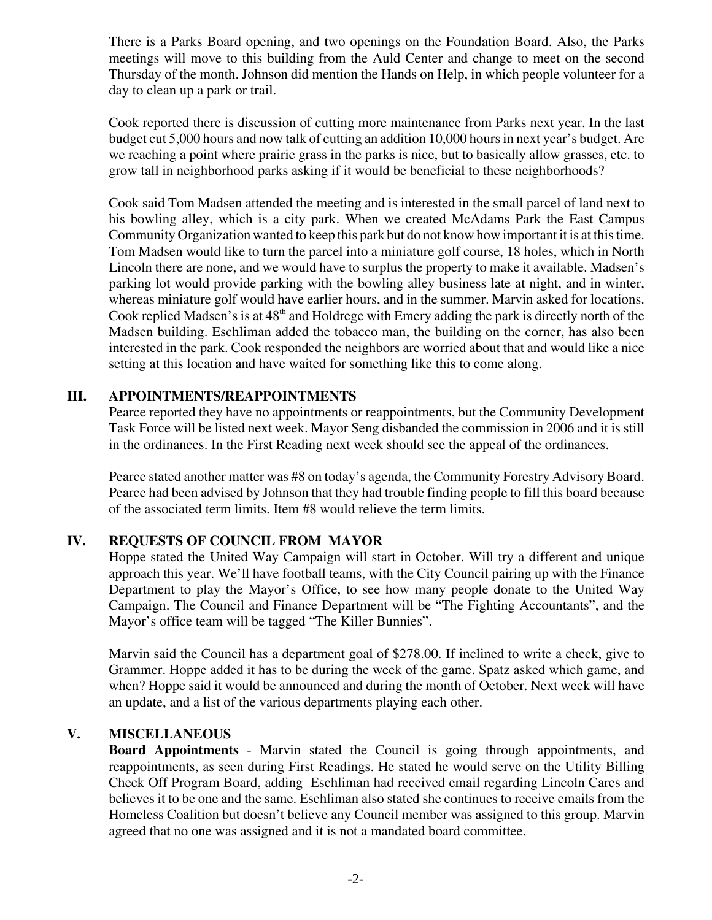There is a Parks Board opening, and two openings on the Foundation Board. Also, the Parks meetings will move to this building from the Auld Center and change to meet on the second Thursday of the month. Johnson did mention the Hands on Help, in which people volunteer for a day to clean up a park or trail.

Cook reported there is discussion of cutting more maintenance from Parks next year. In the last budget cut 5,000 hours and now talk of cutting an addition 10,000 hours in next year's budget. Are we reaching a point where prairie grass in the parks is nice, but to basically allow grasses, etc. to grow tall in neighborhood parks asking if it would be beneficial to these neighborhoods?

Cook said Tom Madsen attended the meeting and is interested in the small parcel of land next to his bowling alley, which is a city park. When we created McAdams Park the East Campus Community Organization wanted to keep this park but do not know how important it is at this time. Tom Madsen would like to turn the parcel into a miniature golf course, 18 holes, which in North Lincoln there are none, and we would have to surplus the property to make it available. Madsen's parking lot would provide parking with the bowling alley business late at night, and in winter, whereas miniature golf would have earlier hours, and in the summer. Marvin asked for locations. Cook replied Madsen's is at  $48<sup>th</sup>$  and Holdrege with Emery adding the park is directly north of the Madsen building. Eschliman added the tobacco man, the building on the corner, has also been interested in the park. Cook responded the neighbors are worried about that and would like a nice setting at this location and have waited for something like this to come along.

## **III. APPOINTMENTS/REAPPOINTMENTS**

Pearce reported they have no appointments or reappointments, but the Community Development Task Force will be listed next week. Mayor Seng disbanded the commission in 2006 and it is still in the ordinances. In the First Reading next week should see the appeal of the ordinances.

Pearce stated another matter was #8 on today's agenda, the Community Forestry Advisory Board. Pearce had been advised by Johnson that they had trouble finding people to fill this board because of the associated term limits. Item #8 would relieve the term limits.

## **IV. REQUESTS OF COUNCIL FROM MAYOR**

Hoppe stated the United Way Campaign will start in October. Will try a different and unique approach this year. We'll have football teams, with the City Council pairing up with the Finance Department to play the Mayor's Office, to see how many people donate to the United Way Campaign. The Council and Finance Department will be "The Fighting Accountants", and the Mayor's office team will be tagged "The Killer Bunnies".

Marvin said the Council has a department goal of \$278.00. If inclined to write a check, give to Grammer. Hoppe added it has to be during the week of the game. Spatz asked which game, and when? Hoppe said it would be announced and during the month of October. Next week will have an update, and a list of the various departments playing each other.

#### **V. MISCELLANEOUS**

**Board Appointments** - Marvin stated the Council is going through appointments, and reappointments, as seen during First Readings. He stated he would serve on the Utility Billing Check Off Program Board, adding Eschliman had received email regarding Lincoln Cares and believes it to be one and the same. Eschliman also stated she continues to receive emails from the Homeless Coalition but doesn't believe any Council member was assigned to this group. Marvin agreed that no one was assigned and it is not a mandated board committee.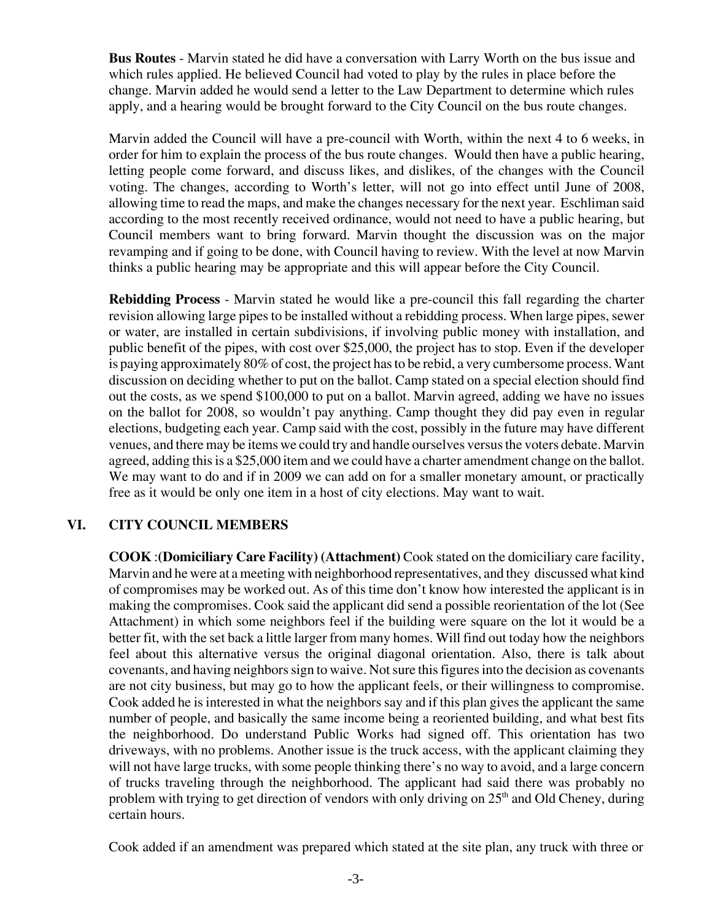**Bus Routes** - Marvin stated he did have a conversation with Larry Worth on the bus issue and which rules applied. He believed Council had voted to play by the rules in place before the change. Marvin added he would send a letter to the Law Department to determine which rules apply, and a hearing would be brought forward to the City Council on the bus route changes.

 Marvin added the Council will have a pre-council with Worth, within the next 4 to 6 weeks, in order for him to explain the process of the bus route changes. Would then have a public hearing, letting people come forward, and discuss likes, and dislikes, of the changes with the Council voting. The changes, according to Worth's letter, will not go into effect until June of 2008, allowing time to read the maps, and make the changes necessary for the next year. Eschliman said according to the most recently received ordinance, would not need to have a public hearing, but Council members want to bring forward. Marvin thought the discussion was on the major revamping and if going to be done, with Council having to review. With the level at now Marvin thinks a public hearing may be appropriate and this will appear before the City Council.

**Rebidding Process** - Marvin stated he would like a pre-council this fall regarding the charter revision allowing large pipes to be installed without a rebidding process. When large pipes, sewer or water, are installed in certain subdivisions, if involving public money with installation, and public benefit of the pipes, with cost over \$25,000, the project has to stop. Even if the developer is paying approximately 80% of cost, the project has to be rebid, a very cumbersome process. Want discussion on deciding whether to put on the ballot. Camp stated on a special election should find out the costs, as we spend \$100,000 to put on a ballot. Marvin agreed, adding we have no issues on the ballot for 2008, so wouldn't pay anything. Camp thought they did pay even in regular elections, budgeting each year. Camp said with the cost, possibly in the future may have different venues, and there may be items we could try and handle ourselves versus the voters debate. Marvin agreed, adding this is a \$25,000 item and we could have a charter amendment change on the ballot. We may want to do and if in 2009 we can add on for a smaller monetary amount, or practically free as it would be only one item in a host of city elections. May want to wait.

## **VI. CITY COUNCIL MEMBERS**

**COOK** :**(Domiciliary Care Facility) (Attachment)** Cook stated on the domiciliary care facility, Marvin and he were at a meeting with neighborhood representatives, and they discussed what kind of compromises may be worked out. As of this time don't know how interested the applicant is in making the compromises. Cook said the applicant did send a possible reorientation of the lot (See Attachment) in which some neighbors feel if the building were square on the lot it would be a better fit, with the set back a little larger from many homes. Will find out today how the neighbors feel about this alternative versus the original diagonal orientation. Also, there is talk about covenants, and having neighbors sign to waive. Not sure this figures into the decision as covenants are not city business, but may go to how the applicant feels, or their willingness to compromise. Cook added he is interested in what the neighbors say and if this plan gives the applicant the same number of people, and basically the same income being a reoriented building, and what best fits the neighborhood. Do understand Public Works had signed off. This orientation has two driveways, with no problems. Another issue is the truck access, with the applicant claiming they will not have large trucks, with some people thinking there's no way to avoid, and a large concern of trucks traveling through the neighborhood. The applicant had said there was probably no problem with trying to get direction of vendors with only driving on  $25<sup>th</sup>$  and Old Cheney, during certain hours.

Cook added if an amendment was prepared which stated at the site plan, any truck with three or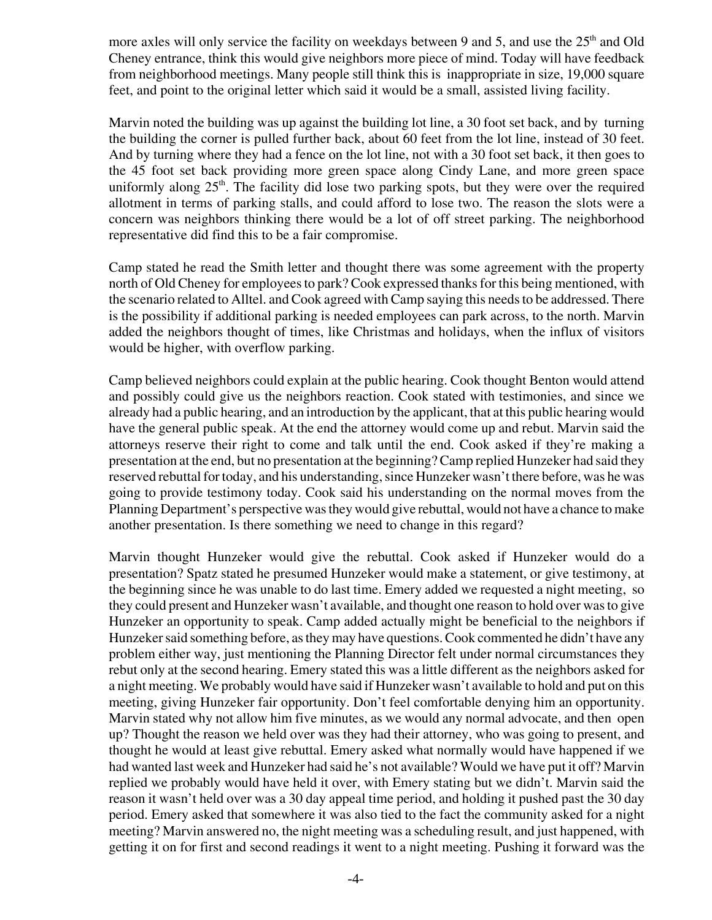more axles will only service the facility on weekdays between 9 and 5, and use the  $25<sup>th</sup>$  and Old Cheney entrance, think this would give neighbors more piece of mind. Today will have feedback from neighborhood meetings. Many people still think this is inappropriate in size, 19,000 square feet, and point to the original letter which said it would be a small, assisted living facility.

Marvin noted the building was up against the building lot line, a 30 foot set back, and by turning the building the corner is pulled further back, about 60 feet from the lot line, instead of 30 feet. And by turning where they had a fence on the lot line, not with a 30 foot set back, it then goes to the 45 foot set back providing more green space along Cindy Lane, and more green space uniformly along  $25<sup>th</sup>$ . The facility did lose two parking spots, but they were over the required allotment in terms of parking stalls, and could afford to lose two. The reason the slots were a concern was neighbors thinking there would be a lot of off street parking. The neighborhood representative did find this to be a fair compromise.

Camp stated he read the Smith letter and thought there was some agreement with the property north of Old Cheney for employees to park? Cook expressed thanks for this being mentioned, with the scenario related to Alltel. and Cook agreed with Camp saying this needs to be addressed. There is the possibility if additional parking is needed employees can park across, to the north. Marvin added the neighbors thought of times, like Christmas and holidays, when the influx of visitors would be higher, with overflow parking.

Camp believed neighbors could explain at the public hearing. Cook thought Benton would attend and possibly could give us the neighbors reaction. Cook stated with testimonies, and since we already had a public hearing, and an introduction by the applicant, that at this public hearing would have the general public speak. At the end the attorney would come up and rebut. Marvin said the attorneys reserve their right to come and talk until the end. Cook asked if they're making a presentation at the end, but no presentation at the beginning? Camp replied Hunzeker had said they reserved rebuttal for today, and his understanding, since Hunzeker wasn't there before, was he was going to provide testimony today. Cook said his understanding on the normal moves from the Planning Department's perspective was they would give rebuttal, would not have a chance to make another presentation. Is there something we need to change in this regard?

Marvin thought Hunzeker would give the rebuttal. Cook asked if Hunzeker would do a presentation? Spatz stated he presumed Hunzeker would make a statement, or give testimony, at the beginning since he was unable to do last time. Emery added we requested a night meeting, so they could present and Hunzeker wasn't available, and thought one reason to hold over was to give Hunzeker an opportunity to speak. Camp added actually might be beneficial to the neighbors if Hunzeker said something before, as they may have questions. Cook commented he didn't have any problem either way, just mentioning the Planning Director felt under normal circumstances they rebut only at the second hearing. Emery stated this was a little different as the neighbors asked for a night meeting. We probably would have said if Hunzeker wasn't available to hold and put on this meeting, giving Hunzeker fair opportunity. Don't feel comfortable denying him an opportunity. Marvin stated why not allow him five minutes, as we would any normal advocate, and then open up? Thought the reason we held over was they had their attorney, who was going to present, and thought he would at least give rebuttal. Emery asked what normally would have happened if we had wanted last week and Hunzeker had said he's not available? Would we have put it off? Marvin replied we probably would have held it over, with Emery stating but we didn't. Marvin said the reason it wasn't held over was a 30 day appeal time period, and holding it pushed past the 30 day period. Emery asked that somewhere it was also tied to the fact the community asked for a night meeting? Marvin answered no, the night meeting was a scheduling result, and just happened, with getting it on for first and second readings it went to a night meeting. Pushing it forward was the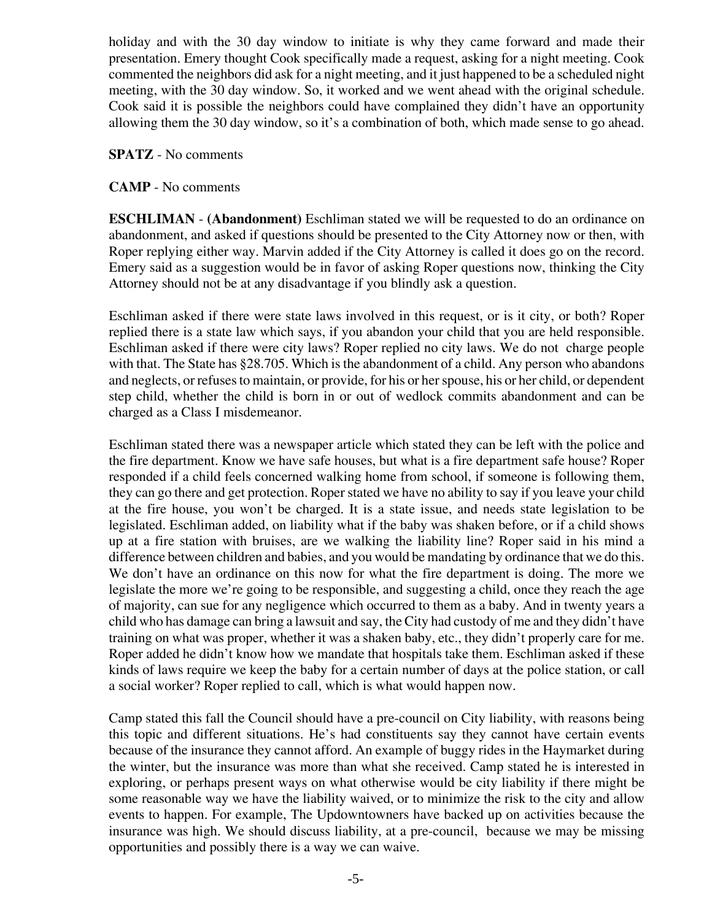holiday and with the 30 day window to initiate is why they came forward and made their presentation. Emery thought Cook specifically made a request, asking for a night meeting. Cook commented the neighbors did ask for a night meeting, and it just happened to be a scheduled night meeting, with the 30 day window. So, it worked and we went ahead with the original schedule. Cook said it is possible the neighbors could have complained they didn't have an opportunity allowing them the 30 day window, so it's a combination of both, which made sense to go ahead.

#### **SPATZ** - No comments

## **CAMP** - No comments

**ESCHLIMAN** - **(Abandonment)** Eschliman stated we will be requested to do an ordinance on abandonment, and asked if questions should be presented to the City Attorney now or then, with Roper replying either way. Marvin added if the City Attorney is called it does go on the record. Emery said as a suggestion would be in favor of asking Roper questions now, thinking the City Attorney should not be at any disadvantage if you blindly ask a question.

Eschliman asked if there were state laws involved in this request, or is it city, or both? Roper replied there is a state law which says, if you abandon your child that you are held responsible. Eschliman asked if there were city laws? Roper replied no city laws. We do not charge people with that. The State has §28.705. Which is the abandonment of a child. Any person who abandons and neglects, or refuses to maintain, or provide, for his or her spouse, his or her child, or dependent step child, whether the child is born in or out of wedlock commits abandonment and can be charged as a Class I misdemeanor.

Eschliman stated there was a newspaper article which stated they can be left with the police and the fire department. Know we have safe houses, but what is a fire department safe house? Roper responded if a child feels concerned walking home from school, if someone is following them, they can go there and get protection. Roper stated we have no ability to say if you leave your child at the fire house, you won't be charged. It is a state issue, and needs state legislation to be legislated. Eschliman added, on liability what if the baby was shaken before, or if a child shows up at a fire station with bruises, are we walking the liability line? Roper said in his mind a difference between children and babies, and you would be mandating by ordinance that we do this. We don't have an ordinance on this now for what the fire department is doing. The more we legislate the more we're going to be responsible, and suggesting a child, once they reach the age of majority, can sue for any negligence which occurred to them as a baby. And in twenty years a child who has damage can bring a lawsuit and say, the City had custody of me and they didn't have training on what was proper, whether it was a shaken baby, etc., they didn't properly care for me. Roper added he didn't know how we mandate that hospitals take them. Eschliman asked if these kinds of laws require we keep the baby for a certain number of days at the police station, or call a social worker? Roper replied to call, which is what would happen now.

Camp stated this fall the Council should have a pre-council on City liability, with reasons being this topic and different situations. He's had constituents say they cannot have certain events because of the insurance they cannot afford. An example of buggy rides in the Haymarket during the winter, but the insurance was more than what she received. Camp stated he is interested in exploring, or perhaps present ways on what otherwise would be city liability if there might be some reasonable way we have the liability waived, or to minimize the risk to the city and allow events to happen. For example, The Updowntowners have backed up on activities because the insurance was high. We should discuss liability, at a pre-council, because we may be missing opportunities and possibly there is a way we can waive.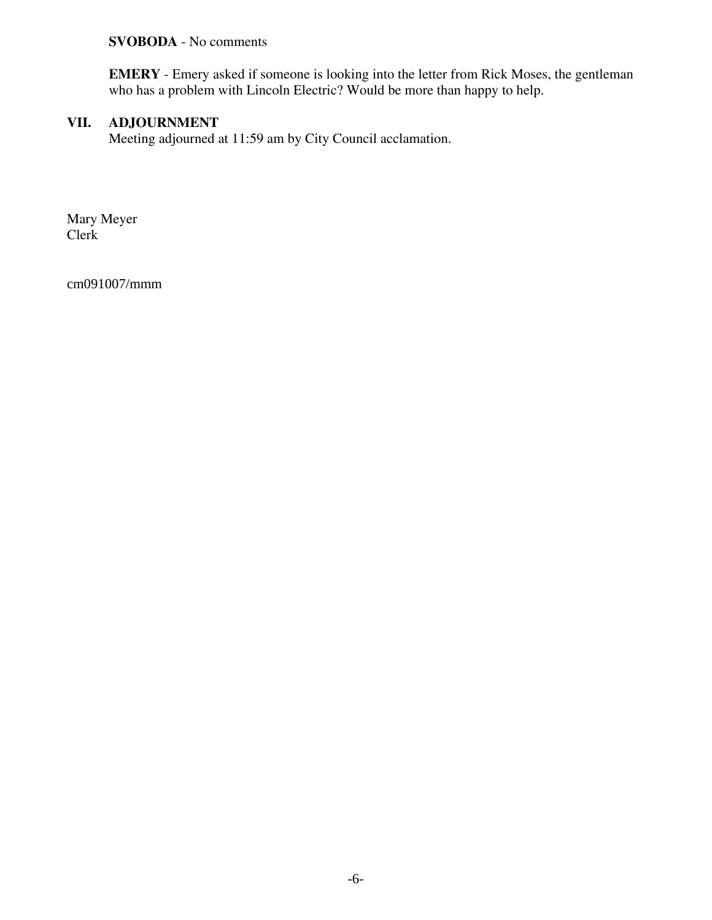## **SVOBODA** - No comments

**EMERY** - Emery asked if someone is looking into the letter from Rick Moses, the gentleman who has a problem with Lincoln Electric? Would be more than happy to help.

## **VII. ADJOURNMENT**

Meeting adjourned at 11:59 am by City Council acclamation.

Mary Meyer Clerk

cm091007/mmm